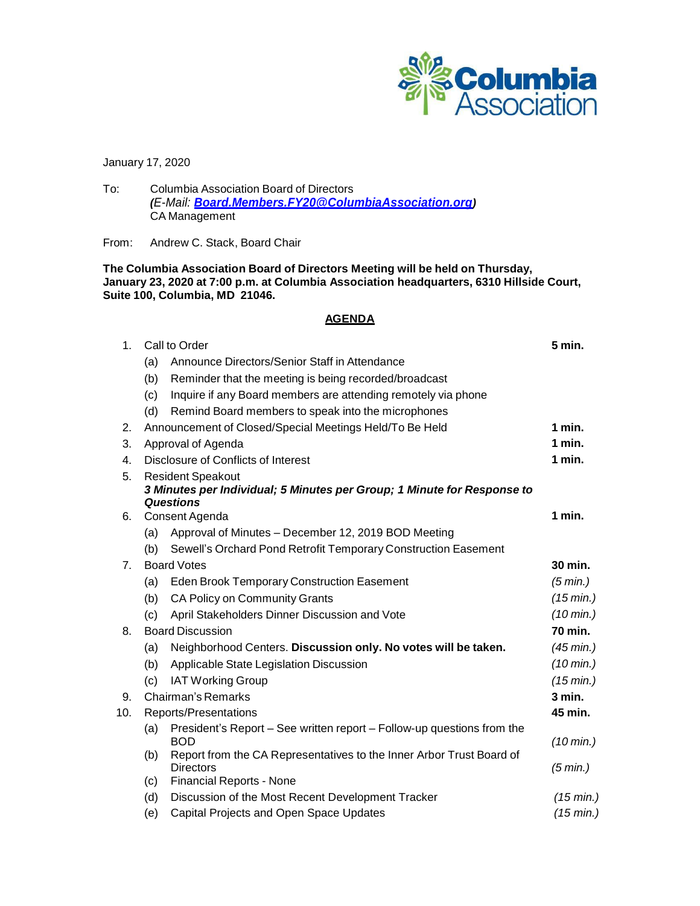

January 17, 2020

To: Columbia Association Board of Directors *(E-Mail: [Board.Members.FY20@ColumbiaAssociation.org](mailto:Board.Members.FY20@ColumbiaAssociation.org))* CA Management

From: Andrew C. Stack, Board Chair

**The Columbia Association Board of Directors Meeting will be held on Thursday, January 23, 2020 at 7:00 p.m. at Columbia Association headquarters, 6310 Hillside Court, Suite 100, Columbia, MD 21046.**

# **AGENDA**

| 1 <sub>1</sub> | Call to Order                                                                                          |                                                                                          | 5 min.                           |  |
|----------------|--------------------------------------------------------------------------------------------------------|------------------------------------------------------------------------------------------|----------------------------------|--|
|                | (a)                                                                                                    | Announce Directors/Senior Staff in Attendance                                            |                                  |  |
|                | (b)                                                                                                    | Reminder that the meeting is being recorded/broadcast                                    |                                  |  |
|                | (c)                                                                                                    | Inquire if any Board members are attending remotely via phone                            |                                  |  |
|                | (d)                                                                                                    | Remind Board members to speak into the microphones                                       |                                  |  |
| 2.             | Announcement of Closed/Special Meetings Held/To Be Held<br>1 min.                                      |                                                                                          |                                  |  |
| 3.             |                                                                                                        | Approval of Agenda                                                                       | 1 min.                           |  |
| 4.             | Disclosure of Conflicts of Interest                                                                    |                                                                                          |                                  |  |
| 5.             |                                                                                                        | <b>Resident Speakout</b>                                                                 |                                  |  |
|                |                                                                                                        | 3 Minutes per Individual; 5 Minutes per Group; 1 Minute for Response to                  |                                  |  |
| 6.             | <b>Questions</b><br>Consent Agenda                                                                     |                                                                                          |                                  |  |
|                | (a)                                                                                                    | Approval of Minutes - December 12, 2019 BOD Meeting                                      | 1 min.                           |  |
|                | (b)                                                                                                    | Sewell's Orchard Pond Retrofit Temporary Construction Easement                           |                                  |  |
|                | <b>Board Votes</b>                                                                                     |                                                                                          | 30 min.                          |  |
| 7.             | (a)                                                                                                    | Eden Brook Temporary Construction Easement                                               | (5 min.)                         |  |
|                | (b)                                                                                                    | CA Policy on Community Grants                                                            | (15 min.)                        |  |
|                | (c)                                                                                                    | April Stakeholders Dinner Discussion and Vote                                            | $(10 \text{ min.})$              |  |
| 8.             | <b>Board Discussion</b>                                                                                |                                                                                          | 70 min.                          |  |
|                | Neighborhood Centers. Discussion only. No votes will be taken.<br>(a)                                  |                                                                                          |                                  |  |
|                |                                                                                                        | Applicable State Legislation Discussion                                                  | (45 min.)<br>$(10 \text{ min.})$ |  |
|                | (b)                                                                                                    |                                                                                          | (15 min.)                        |  |
|                | (c)                                                                                                    | <b>IAT Working Group</b>                                                                 | 3 min.                           |  |
| 9.             | Chairman's Remarks                                                                                     |                                                                                          | 45 min.                          |  |
| 10.            | Reports/Presentations<br>President's Report – See written report – Follow-up questions from the<br>(a) |                                                                                          |                                  |  |
|                |                                                                                                        | <b>BOD</b>                                                                               | $(10 \text{ min.})$              |  |
|                | (b)                                                                                                    | Report from the CA Representatives to the Inner Arbor Trust Board of<br><b>Directors</b> | (5 min.)                         |  |
|                | (c)                                                                                                    | <b>Financial Reports - None</b>                                                          |                                  |  |
|                | (d)                                                                                                    | Discussion of the Most Recent Development Tracker                                        | (15 min.)                        |  |
|                | (e)                                                                                                    | Capital Projects and Open Space Updates                                                  | (15 min.)                        |  |
|                |                                                                                                        |                                                                                          |                                  |  |